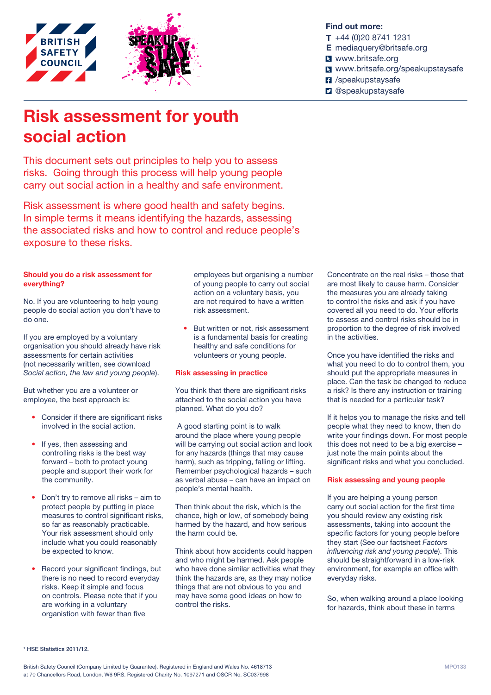

## Find out more:

- T +44 (0)20 8741 1231
- E [mediaquery@britsafe.org](mailto:mediaquery@britsafe.org)
- **N** <www.britsafe.org>
- <www.britsafe.org/speakupstaysafe>
- **7** /speakupstaysafe
- **D** @speakupstaysafe

# Risk assessment for youth social action

This document sets out principles to help you to assess risks. Going through this process will help young people carry out social action in a healthy and safe environment.

Risk assessment is where good health and safety begins. In simple terms it means identifying the hazards, assessing the associated risks and how to control and reduce people's exposure to these risks.

#### Should you do a risk assessment for everything?

No. If you are volunteering to help young people do social action you don't have to do one.

If you are employed by a voluntary organisation you should already have risk assessments for certain activities (not necessarily written, see download [Social action, the law and young people](https://www.britsafe.org/sites/default/files//editor/Social_action_the_law_and_young_people.pdf)).

But whether you are a volunteer or employee, the best approach is:

- Consider if there are significant risks involved in the social action.
- If yes, then assessing and controlling risks is the best way forward – both to protect young people and support their work for the community.
- Don't try to remove all risks aim to protect people by putting in place measures to control significant risks, so far as reasonably practicable. Your risk assessment should only include what you could reasonably be expected to know.
- Record your significant findings, but there is no need to record everyday risks. Keep it simple and focus on controls. Please note that if you are working in a voluntary organistion with fewer than five

 employees but organising a number of young people to carry out social action on a voluntary basis, you are not required to have a written risk assessment.

But written or not, risk assessment is a fundamental basis for creating healthy and safe conditions for volunteers or young people.

## Risk assessing in practice

You think that there are significant risks attached to the social action you have planned. What do you do?

 A good starting point is to walk around the place where young people will be carrying out social action and look for any hazards (things that may cause harm), such as tripping, falling or lifting. Remember psychological hazards – such as verbal abuse – can have an impact on people's mental health.

Then think about the risk, which is the chance, high or low, of somebody being harmed by the hazard, and how serious the harm could be.

Think about how accidents could happen and who might be harmed. Ask people who have done similar activities what they think the hazards are, as they may notice things that are not obvious to you and may have some good ideas on how to control the risks.

Concentrate on the real risks – those that are most likely to cause harm. Consider the measures you are already taking to control the risks and ask if you have covered all you need to do. Your efforts to assess and control risks should be in proportion to the degree of risk involved in the activities.

Once you have identified the risks and what you need to do to control them, you should put the appropriate measures in place. Can the task be changed to reduce a risk? Is there any instruction or training that is needed for a particular task?

If it helps you to manage the risks and tell people what they need to know, then do write your findings down. For most people this does not need to be a big exercise – just note the main points about the significant risks and what you concluded.

#### Risk assessing and young people

If you are helping a young person carry out social action for the first time you should review any existing risk assessments, taking into account the specific factors for young people before they start (See our factsheet [Factors](https://www.britsafe.org/sites/default/files//editor/Factors_influencing_risk_and_young_people.pdf)  [influencing risk and young people](https://www.britsafe.org/sites/default/files//editor/Factors_influencing_risk_and_young_people.pdf)). This should be straightforward in a low-risk environment, for example an office with everyday risks.

So, when walking around a place looking for hazards, think about these in terms

<sup>1</sup> HSE Statistics 2011/12.